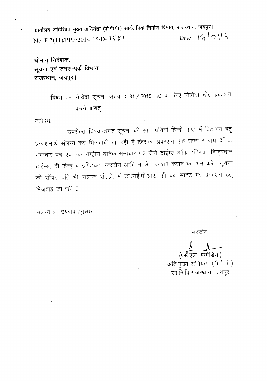कार्यालय अतिरिक्त मुख्य अभियंता (पी.पी.पी.) सार्वजनिक निर्माण विभाग, राजस्थान, जयपुर। Date: 17/2/16 No. F.7(11)/PPP/2014-15/D-1581

श्रीमान् निदेशक, सूचना एवं जनसम्पर्क विभाग, राजस्थान, जयपुर।

> विषय :-- निविदा सूचना संख्या : 31 / 2015-16 के लिए निविदा नोट प्रकाशन करने बाबत्।

महोदय,

उपरोक्त विषयान्तर्गत सूचना की सात प्रतियां हिन्दी भाषा में विज्ञापन हेतु प्रकाशनार्थ संलग्न कर भिजवायी जा रही हैं जिसका प्रकाशन एक राज्य स्तरीय दैनिक समाचार पत्र एवं एक राष्ट्रीय दैनिक समाचार पत्र जैसे टाईम्स ऑफ इण्डिया, हिन्दुस्तान टाईम्स, दी हिन्दू व इण्डियन एक्सप्रेस आदि में से प्रकाशन कराने का श्रम करें। सूचना की सॉफ्ट प्रति भी संलग्न सी.डी. में डी.आई.पी.आर. की वेब साईट पर प्रकाशन हेतु भिजवाई जा रही है।

संलग्न :- उपरोक्तानुसार।

भवदीय

(एसॅ.एल. फगेडिया)

अति.मुख्य अभियंता (पी.पी.पी.) सा.नि.वि.राजस्थान, जयपुर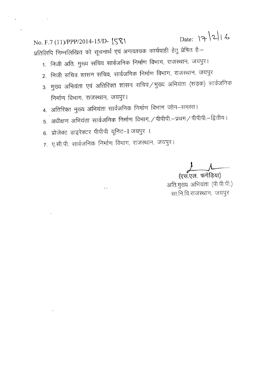Date: 17/2/16  $No. F.7 (11)/PPP/2014-15/D \sqrt{\sqrt{6}}$ प्रतिलिपि निम्नलिखित को सूचनार्थ एवं अनावश्यक कार्यवाही हेतु प्रेषित है:--

- 1. निजी अति. मुख्य सचिव सार्वजनिक निर्माण विभाग, राजस्थान, जयपुर।
- 2. निजी सचिव शासन सचिव, सार्वजनिक निर्माण विभाग, राजस्थान, जयपुर
- 3. मुख्य अभियंता एवं अतिरिक्त शासन सचिव/मुख्य अभियंता (सड़क) सार्वजनिक निर्माण विभाग, राजस्थान, जयपुर।
- 4. अतिरिक्त मुख्य अभियंता सार्वजनिक निर्माण विभाग जोन–समस्त।
- 5. अधीक्षण अभियंता सार्वजनिक निर्माण विभाग, / पीपीपी.--प्रथम / पीपीपी.--द्वितीय ।
- 6. प्रोजेक्ट डाइरेक्टर पीपीपी यूनिट-I जयपुर ।

 $\frac{1}{2} \frac{1}{2} \frac{1}{2} \frac{1}{2}$ 

 $\mathcal{L}_{\text{max}}$  .

7. ए.सी.पी. सार्वजनिक निर्माण विभाग, राजस्थान, जयपुर।

**) 1**<br>(एस.एल. फगेड़िया)

अति.मुख्य अभियंता (पी.पी.पी.) सा.नि.वि.राजस्थान, जयपुर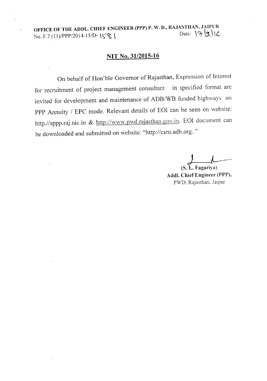OFFICE OF THE ADDL. CHIEF ENGINEER (PPP) P. W. D., RAJASTHAN, JAIPUR<br>Date:  $\mathcal{A}[2]$ No. F.7 (11)/PPP/2014-15/D-  $\{\$\}\$ 

### **NIT** No. 31/2015-16

On behalf of Hon'ble Governor of Rajasthan, Expression of Interest for recruitment of project management consultant in specified format are invited for development and maintenance of ADB/WB funded highways on PPP Annuity / EPC mode. Relevant details of EOI can be seen on website: http.//sppp.raj.nic.in & http://www.pwd.rajasthan.gov.in. EOI document can be downloaded and submitted on website: ''http://csrn.adb.org. "

(S.L. Fagariya) Addl. Chief Engineer (PPP), PWD, Rajasthan. Jaipur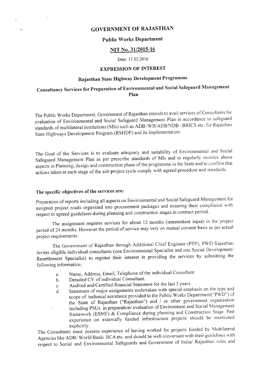### GOVERNMENT OF RAJASTHAN

#### Public Works Department

#### NIT No. 31/2015-16

#### Date: 17.02.2016

#### EXPRESSION OF INTEREST

# Rajasthan State Highway Development Programme

# Consultancy Services for Preparation of Environmental and Social Safeguard Management Plan

The Public Works Department, Government of Rajasthan intends to avail services of Consultants for evaluation of Environmental and Social Safeguard Management Plan in accordance to safeguard standards of multilateral institutions (MIs) such as ADB /WB/AIIB/NDB-BRICS etc. for Rajasthan State Highways Development Program (RSHDP) and its Implementation.

The Goal of the Services is to evaluate adequacy and suitability of Environmental and Social Safeguard Management Plan as per prescribe standards of MIs and to regularly monitor above aspects in Planning, design and construction phase of the programme in the State and to confirm that actions taken at each stage of the sub-project cycle comply with agreed procedure and standards.

### The specific objectives of the services are:

Preparation of reports including all aspects on Environmental and Social Safeguard Management for assigned project roads organized into procurement packages and ensuring their compliance with respect to agreed guidelines during planning and construction stages in contract period.

The assignment requires services for about 12 months (intermittent input) in the project period of 24 months. However the period of service may very on mutual consent basis as per actual project requirements.

The Government of Rajasthan through Additional Chief Engineer (PPP), PWD Rajasthan invites eligible individual consultants (one Environmental Specialist and one Social Development/ Resettlement Specialist) to register their interest in providing the services by submitting the following information:

- a. Name, Address, Email, Telephone of the individual Consultant.
- b. Detailed CV of individual Consultant.
- c. Audited and/Certified financial Statement for the last 3 years.
- d. Statement of major assignments undertaken with special emphasis on the type and scope of technical assistance provided to the Public Works Department("PWD") of the State of Rajasthan ("Rajasthan") and / or other government organization including PSUs in preparation/evaluation of Environment and Social Management framework (ESMF) & Compliance during planning and Construction Stage. Past experience on externally funded infrastructure projects should be mentioned explicitly.

The Consultants must possess experience of having worked for projects funded by Multilateral Agencies like ADB/ World Bank/ JICA etc. and should be well conversant with their guidelines with respect to Social and Environmental Safeguards and Government of India/ Rajasthan rules and